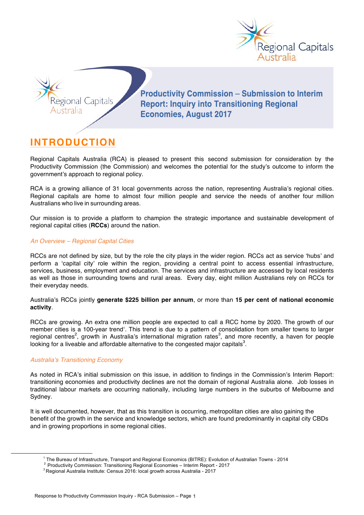



**Productivity Commission - Submission to Interim Report: Inquiry into Transitioning Regional Economies, August 2017** 

# **INTRODUCTION**

Regional Capitals Australia (RCA) is pleased to present this second submission for consideration by the Productivity Commission (the Commission) and welcomes the potential for the study's outcome to inform the government's approach to regional policy.

RCA is a growing alliance of 31 local governments across the nation, representing Australia's regional cities. Regional capitals are home to almost four million people and service the needs of another four million Australians who live in surrounding areas.

Our mission is to provide a platform to champion the strategic importance and sustainable development of regional capital cities (**RCCs**) around the nation.

## *An Overview – Regional Capital Cities*

RCCs are not defined by size, but by the role the city plays in the wider region. RCCs act as service 'hubs' and perform a 'capital city' role within the region, providing a central point to access essential infrastructure, services, business, employment and education. The services and infrastructure are accessed by local residents as well as those in surrounding towns and rural areas. Every day, eight million Australians rely on RCCs for their everyday needs.

Australia's RCCs jointly **generate \$225 billion per annum**, or more than **15 per cent of national economic activity**.

RCCs are growing. An extra one million people are expected to call a RCC home by 2020. The growth of our member cities is a 100-year trend<sup>1</sup>. This trend is due to a pattern of consolidation from smaller towns to larger regional centres<sup>2</sup>, growth in Australia's international migration rates<sup>3</sup>, and more recently, a haven for people looking for a liveable and affordable alternative to the congested major capitals<sup>3</sup>.

## *Australia's Transitioning Economy*

As noted in RCA's initial submission on this issue, in addition to findings in the Commission's Interim Report: transitioning economies and productivity declines are not the domain of regional Australia alone. Job losses in traditional labour markets are occurring nationally, including large numbers in the suburbs of Melbourne and Sydney.

It is well documented, however, that as this transition is occurring, metropolitan cities are also gaining the benefit of the growth in the service and knowledge sectors, which are found predominantly in capital city CBDs and in growing proportions in some regional cities.

 <sup>1</sup> The Bureau of Infrastructure, Transport and Regional Economics (BITRE): Evolution of Australian Towns - <sup>2014</sup>

<sup>&</sup>lt;sup>2</sup> Productivity Commission: Transitioning Regional Economies – Interim Report - 2017<br><sup>3</sup> Regional Australia Institute: Census 2016: local growth across Australia - 2017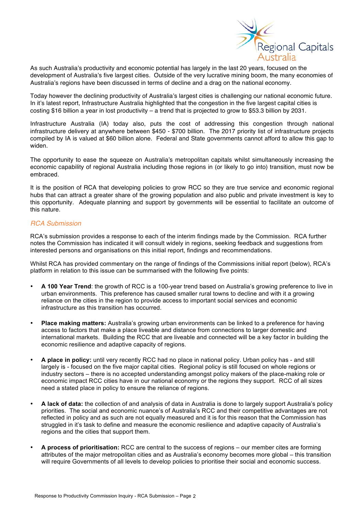

As such Australia's productivity and economic potential has largely in the last 20 years, focused on the development of Australia's five largest cities. Outside of the very lucrative mining boom, the many economies of Australia's regions have been discussed in terms of decline and a drag on the national economy.

Today however the declining productivity of Australia's largest cities is challenging our national economic future. In it's latest report, Infrastructure Australia highlighted that the congestion in the five largest capital cities is costing \$16 billion a year in lost productivity – a trend that is projected to grow to \$53.3 billion by 2031.

Infrastructure Australia (IA) today also, puts the cost of addressing this congestion through national infrastructure delivery at anywhere between \$450 - \$700 billion. The 2017 priority list of infrastructure projects compiled by IA is valued at \$60 billion alone. Federal and State governments cannot afford to allow this gap to widen.

The opportunity to ease the squeeze on Australia's metropolitan capitals whilst simultaneously increasing the economic capability of regional Australia including those regions in (or likely to go into) transition, must now be embraced.

It is the position of RCA that developing policies to grow RCC so they are true service and economic regional hubs that can attract a greater share of the growing population and also public and private investment is key to this opportunity. Adequate planning and support by governments will be essential to facilitate an outcome of this nature.

# *RCA Submission*

RCA's submission provides a response to each of the interim findings made by the Commission. RCA further notes the Commission has indicated it will consult widely in regions, seeking feedback and suggestions from interested persons and organisations on this initial report, findings and recommendations.

Whilst RCA has provided commentary on the range of findings of the Commissions initial report (below), RCA's platform in relation to this issue can be summarised with the following five points:

- **A 100 Year Trend**: the growth of RCC is a 100-year trend based on Australia's growing preference to live in urban environments. This preference has caused smaller rural towns to decline and with it a growing reliance on the cities in the region to provide access to important social services and economic infrastructure as this transition has occurred.
- **Place making matters:** Australia's growing urban environments can be linked to a preference for having access to factors that make a place liveable and distance from connections to larger domestic and international markets. Building the RCC that are liveable and connected will be a key factor in building the economic resilience and adaptive capacity of regions.
- **A place in policy:** until very recently RCC had no place in national policy. Urban policy has and still largely is - focused on the five major capital cities. Regional policy is still focused on whole regions or industry sectors – there is no accepted understanding amongst policy makers of the place-making role or economic impact RCC cities have in our national economy or the regions they support. RCC of all sizes need a stated place in policy to ensure the reliance of regions.
- **A lack of data:** the collection of and analysis of data in Australia is done to largely support Australia's policy priorities. The social and economic nuance's of Australia's RCC and their competitive advantages are not reflected in policy and as such are not equally measured and it is for this reason that the Commission has struggled in it's task to define and measure the economic resilience and adaptive capacity of Australia's regions and the cities that support them.
- **A process of prioritisation:** RCC are central to the success of regions our member cites are forming attributes of the major metropolitan cities and as Australia's economy becomes more global – this transition will require Governments of all levels to develop policies to prioritise their social and economic success.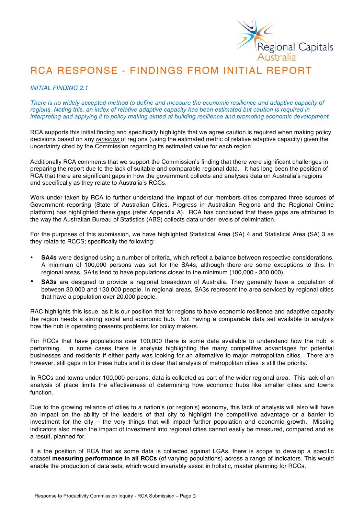

# RCA RESPONSE - FINDINGS FROM INITIAL REPORT

## *INITIAL FINDING 2.1*

*There is no widely accepted method to define and measure the economic resilience and adaptive capacity of regions. Noting this, an index of relative adaptive capacity has been estimated but caution is required in interpreting and applying it to policy making aimed at building resilience and promoting economic development.*

RCA supports this initial finding and specifically highlights that we agree caution is required when making policy decisions based on any *rankings* of regions (using the estimated metric of relative adaptive capacity) given the uncertainty cited by the Commission regarding its estimated value for each region.

Additionally RCA comments that we support the Commission's finding that there were significant challenges in preparing the report due to the lack of suitable and comparable regional data. It has long been the position of RCA that there are significant gaps in how the government collects and analyses data on Australia's regions and specifically as they relate to Australia's RCCs.

Work under taken by RCA to further understand the impact of our members cities compared three sources of Government reporting (State of Australian Cities, Progress in Australian Regions and the Regional Online platform) has highlighted these gaps (refer Appendix A). RCA has concluded that these gaps are attributed to the way the Australian Bureau of Statistics (ABS) collects data under levels of delimination.

For the purposes of this submission, we have highlighted Statistical Area (SA) 4 and Statistical Area (SA) 3 as they relate to RCCS; specifically the following:

- **SA4s** were designed using a number of criteria, which reflect a balance between respective considerations. A minimum of 100,000 persons was set for the SA4s, although there are some exceptions to this. In regional areas, SA4s tend to have populations closer to the minimum (100,000 - 300,000).
- **SA3s** are designed to provide a regional breakdown of Australia. They generally have a population of between 30,000 and 130,000 people. In regional areas, SA3s represent the area serviced by regional cities that have a population over 20,000 people.

RAC highlights this issue, as it is our position that for regions to have economic resilience and adaptive capacity the region needs a strong social and economic hub. Not having a comparable data set available to analysis how the hub is operating presents problems for policy makers.

For RCCs that have populations over 100,000 there is some data available to understand how the hub is performing. In some cases there is analysis highlighting the many competitive advantages for potential businesses and residents if either party was looking for an alternative to major metropolitan cities. There are however, still gaps in for these hubs and it is clear that analysis of metropolitan cities is still the priority.

In RCCs and towns under 100,000 persons, data is collected as part of the wider regional area. This lack of an analysis of place limits the effectiveness of determining how economic hubs like smaller cities and towns function.

Due to the growing reliance of cities to a nation's (or region's) economy, this lack of analysis will also will have an impact on the ability of the leaders of that city to highlight the competitive advantage or a barrier to investment for the city – the very things that will impact further population and economic growth. Missing indicators also mean the impact of investment into regional cities cannot easily be measured, compared and as a result, planned for.

It is the position of RCA that as some data is collected against LGAs, there is scope to develop a specific dataset **measuring performance in all RCCs** (of varying populations) across a range of indicators. This would enable the production of data sets, which would invariably assist in holistic, master planning for RCCs.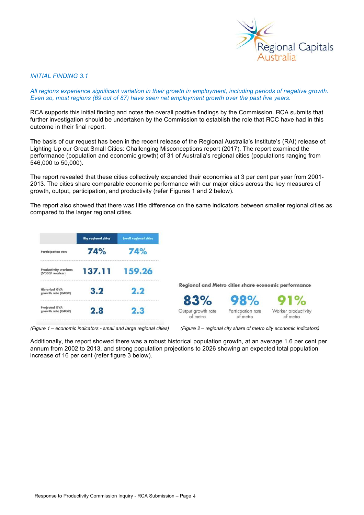

#### *INITIAL FINDING 3.1*

*All regions experience significant variation in their growth in employment, including periods of negative growth. Even so, most regions (69 out of 87) have seen net employment growth over the past five years.* 

RCA supports this initial finding and notes the overall positive findings by the Commission. RCA submits that further investigation should be undertaken by the Commission to establish the role that RCC have had in this outcome in their final report.

The basis of our request has been in the recent release of the Regional Australia's Institute's (RAI) release of: Lighting Up our Great Small Cities: Challenging Misconceptions report (2017). The report examined the performance (population and economic growth) of 31 of Australia's regional cities (populations ranging from 546,000 to 50,000).

The report revealed that these cities collectively expanded their economies at 3 per cent per year from 2001- 2013. The cities share comparable economic performance with our major cities across the key measures of growth, output, participation, and productivity (refer Figures 1 and 2 below).

The report also showed that there was little difference on the same indicators between smaller regional cities as compared to the larger regional cities.

|                                            | <b>Big regional cities</b> | <b>Small regional cities</b> |                                |                                                      |                                 |
|--------------------------------------------|----------------------------|------------------------------|--------------------------------|------------------------------------------------------|---------------------------------|
| <b>Participation rate</b>                  | 74%                        | 74%                          |                                |                                                      |                                 |
| Productivity workers<br>(\$'000/ worker)   | 137.11                     | 159.26                       |                                |                                                      |                                 |
| <b>Historical GVA</b>                      | 3.2                        | 2.2                          |                                | Regional and Metro cities share economic performance |                                 |
| growth rate (CAGR)                         |                            |                              | 83%                            | 98%                                                  | <b>91%</b>                      |
| <b>Projected GVA</b><br>growth rate (CAGR) | 2.8                        | 2.3                          | Output growth rate<br>of metro | Particpation rate<br>of metro                        | Worker productivity<br>ot metro |

*(Figure 1 – economic indicators - small and large regional cities) (Figure 2 – regional city share of metro city economic indicators)*

Additionally, the report showed there was a robust historical population growth, at an average 1.6 per cent per annum from 2002 to 2013, and strong population projections to 2026 showing an expected total population increase of 16 per cent (refer figure 3 below).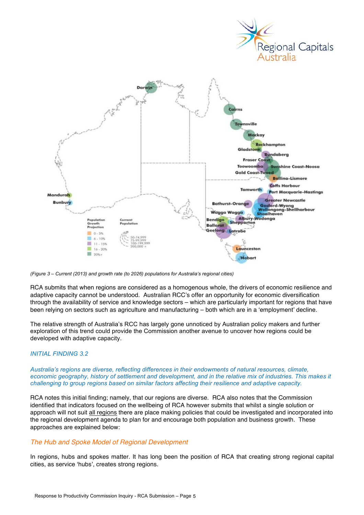



*(Figure 3 – Current (2013) and growth rate (to 2026) populations for Australia's regional cities)*

RCA submits that when regions are considered as a homogenous whole, the drivers of economic resilience and adaptive capacity cannot be understood. Australian RCC's offer an opportunity for economic diversification through the availability of service and knowledge sectors – which are particularly important for regions that have been relying on sectors such as agriculture and manufacturing – both which are in a 'employment' decline.

The relative strength of Australia's RCC has largely gone unnoticed by Australian policy makers and further exploration of this trend could provide the Commission another avenue to uncover how regions could be developed with adaptive capacity.

## *INITIAL FINDING 3.2*

*Australia's regions are diverse, reflecting differences in their endowments of natural resources, climate, economic geography, history of settlement and development, and in the relative mix of industries. This makes it challenging to group regions based on similar factors affecting their resilience and adaptive capacity.*

RCA notes this initial finding; namely, that our regions are diverse. RCA also notes that the Commission identified that indicators focused on the wellbeing of RCA however submits that whilst a single solution or approach will not suit all regions there are place making policies that could be investigated and incorporated into the regional development agenda to plan for and encourage both population and business growth. These approaches are explained below:

### *The Hub and Spoke Model of Regional Development*

In regions, hubs and spokes matter. It has long been the position of RCA that creating strong regional capital cities, as service 'hubs', creates strong regions.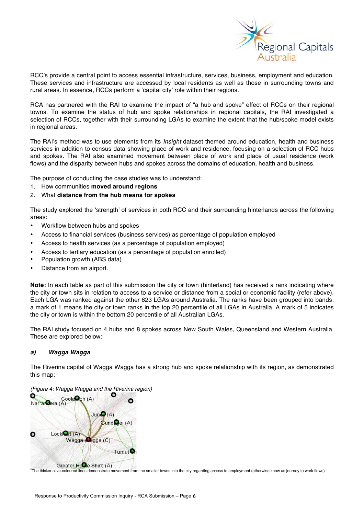

RCC's provide a central point to access essential infrastructure, services, business, employment and education. These services and infrastructure are accessed by local residents as well as those in surrounding towns and rural areas. In essence, RCCs perform a 'capital city' role within their regions.

RCA has partnered with the RAI to examine the impact of "a hub and spoke" effect of RCCs on their regional towns. To examine the status of hub and spoke relationships in regional capitals, the RAI investigated a selection of RCCs, together with their surrounding LGAs to examine the extent that the hub/spoke model exists in regional areas.

The RAI's method was to use elements from its *Insight* dataset themed around education, health and business services in addition to census data showing place of work and residence, focusing on a selection of RCC hubs and spokes. The RAI also examined movement between place of work and place of usual residence (work flows) and the disparity between hubs and spokes across the domains of education, health and business.

The purpose of conducting the case studies was to understand:

- 1. How communities **moved around regions**
- 2. What **distance from the hub means for spokes**

The study explored the 'strength' of services in both RCC and their surrounding hinterlands across the following areas:

- Workflow between hubs and spokes
- Access to financial services (business services) as percentage of population employed
- Access to health services (as a percentage of population employed)
- Access to tertiary education (as a percentage of population enrolled)
- Population growth (ABS data)
- Distance from an airport.

**Note:** In each table as part of this submission the city or town (hinterland) has received a rank indicating where the city or town sits in relation to access to a service or distance from a social or economic facility (refer above). Each LGA was ranked against the other 623 LGAs around Australia. The ranks have been grouped into bands: a mark of 1 means the city or town ranks in the top 20 percentile of all LGAs in Australia. A mark of 5 indicates the city or town is within the bottom 20 percentile of all Australian LGAs.

The RAI study focused on 4 hubs and 8 spokes across New South Wales, Queensland and Western Australia. These are explored below:

## *a) Wagga Wagga*

The Riverina capital of Wagga Wagga has a strong hub and spoke relationship with its region, as demonstrated this map:

*(Figure 4: Wagga Wagga and the Riverina region)*



\*The thicker olive-coloured lines demonstrate movement from the smaller towns into the city regarding access to employment (otherwise know as journey to work flows)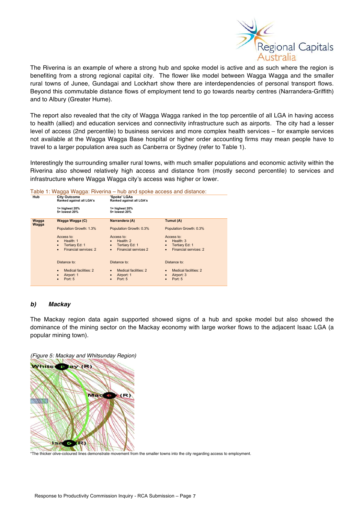

The Riverina is an example of where a strong hub and spoke model is active and as such where the region is benefiting from a strong regional capital city. The flower like model between Wagga Wagga and the smaller rural towns of Junee, Gundagai and Lockhart show there are interdependencies of personal transport flows. Beyond this commutable distance flows of employment tend to go towards nearby centres (Narrandera-Griffith) and to Albury (Greater Hume).

The report also revealed that the city of Wagga Wagga ranked in the top percentile of all LGA in having access to health (allied) and education services and connectivity infrastructure such as airports. The city had a lesser level of access (2nd percentile) to business services and more complex health services – for example services not available at the Wagga Wagga Base hospital or higher order accounting firms may mean people have to travel to a larger population area such as Canberra or Sydney (refer to Table 1).

Interestingly the surrounding smaller rural towns, with much smaller populations and economic activity within the Riverina also showed relatively high access and distance from (mostly second percentile) to services and infrastructure where Wagga Wagga city's access was higher or lower.

| Table 1: Wagga Wagga: Riverina – hub and spoke access and distance: |                                                 |                                          |                                    |  |
|---------------------------------------------------------------------|-------------------------------------------------|------------------------------------------|------------------------------------|--|
| Hub                                                                 | <b>City Outcome</b><br>Ranked against all LGA's | 'Spoke' LGAs<br>Ranked against all LGA's |                                    |  |
|                                                                     | 1= highest 20%<br>5= lowest 20%                 | 1= highest 20%<br>5= lowest 20%          |                                    |  |
| Wagga<br>Wagga                                                      | Wagga Wagga (C)                                 | Narrandera (A)                           | Tumut (A)                          |  |
|                                                                     | Population Growth: 1.3%                         | Population Growth: 0.3%                  | Population Growth: 0.3%            |  |
|                                                                     | Access to:                                      | Access to:                               | Access to:                         |  |
|                                                                     | Health: 1<br>$\bullet$                          | Health: $2$                              | Health: 3                          |  |
|                                                                     | Tertiary Ed: 1<br>$\bullet$                     | Tertiary Ed: 1<br>$\bullet$              | Tertiary Ed: 1<br>$\bullet$        |  |
|                                                                     | Financial services: 2<br>$\bullet$              | Financial services 2<br>$\bullet$        | Financial services: 2<br>$\bullet$ |  |
|                                                                     | Distance to:                                    | Distance to:                             | Distance to:                       |  |
|                                                                     | Medical facilities: 2<br>$\bullet$              | Medical facilities: 2<br>$\bullet$       | Medical facilities: 2<br>$\bullet$ |  |
|                                                                     | Airport: 1<br>$\bullet$                         | Airport: 1<br>$\bullet$                  | Airport: 3<br>$\bullet$            |  |
|                                                                     | Port: 5<br>$\bullet$                            | Port: 5                                  | Port: 5                            |  |

## *b) Mackay*

The Mackay region data again supported showed signs of a hub and spoke model but also showed the dominance of the mining sector on the Mackay economy with large worker flows to the adjacent Isaac LGA (a popular mining town).

*(Figure 5: Mackay and Whitsunday Region)*



\*The thicker olive-coloured lines demonstrate movement from the smaller towns into the city regarding access to employment.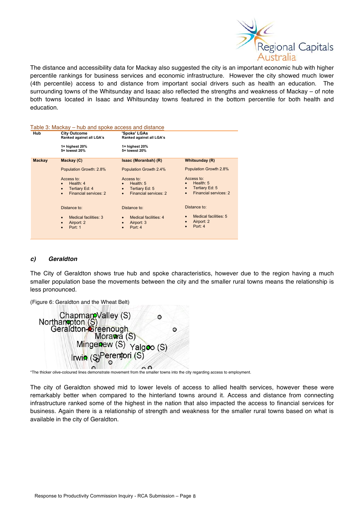

The distance and accessibility data for Mackay also suggested the city is an important economic hub with higher percentile rankings for business services and economic infrastructure. However the city showed much lower (4th percentile) access to and distance from important social drivers such as health an education. The surrounding towns of the Whitsunday and Isaac also reflected the strengths and weakness of Mackay – of note both towns located in Isaac and Whitsunday towns featured in the bottom percentile for both health and education.

| Hub           | <b>City Outcome</b><br>Ranked against all LGA's                                                                  | 'Spoke' LGAs<br>Ranked against all LGA's                                                                         |                                                                                                     |
|---------------|------------------------------------------------------------------------------------------------------------------|------------------------------------------------------------------------------------------------------------------|-----------------------------------------------------------------------------------------------------|
|               | $1 =$ highest 20%<br>5= lowest 20%                                                                               | $1 =$ highest 20%<br>5= lowest 20%                                                                               |                                                                                                     |
| <b>Mackay</b> | Mackay (C)                                                                                                       | Isaac (Moranbah) (R)                                                                                             | <b>Whitsunday (R)</b>                                                                               |
|               | Population Growth: 2.8%                                                                                          | Population Growth 2.4%                                                                                           | Population Growth 2.8%                                                                              |
|               | Access to:<br>Health: 4<br>$\bullet$<br><b>Tertiary Ed: 4</b><br>$\bullet$<br>Financial services: 2<br>$\bullet$ | Access to:<br>Health: 5<br>$\bullet$<br>Tertiary Ed: 5<br>$\bullet$<br><b>Financial services: 2</b><br>$\bullet$ | Access to:<br>Health: 5<br>Tertiary Ed: 5<br>$\bullet$<br><b>Financial services: 2</b><br>$\bullet$ |
|               | Distance to:                                                                                                     | Distance to:                                                                                                     | Distance to:                                                                                        |
|               | <b>Medical facilities: 3</b><br>$\bullet$<br>Airport: 2<br>$\bullet$<br>Port: 1<br>$\bullet$                     | Medical facilities: 4<br>$\bullet$<br>Airport: 3<br>$\bullet$<br>Port: 4<br>$\bullet$                            | Medical facilities: 5<br>$\bullet$<br>Airport: 2<br>Port: 4<br>$\bullet$                            |

## *c) Geraldton*

The City of Geraldton shows true hub and spoke characteristics, however due to the region having a much smaller population base the movements between the city and the smaller rural towns means the relationship is less pronounced.

(Figure 6: Geraldton and the Wheat Belt)

| O                       |
|-------------------------|
| Mingenew (S) Yalgoo (S) |
|                         |
|                         |

\*The thicker olive-coloured lines demonstrate movement from the smaller towns into the city regarding access to employment.

The city of Geraldton showed mid to lower levels of access to allied health services, however these were remarkably better when compared to the hinterland towns around it. Access and distance from connecting infrastructure ranked some of the highest in the nation that also impacted the access to financial services for business. Again there is a relationship of strength and weakness for the smaller rural towns based on what is available in the city of Geraldton.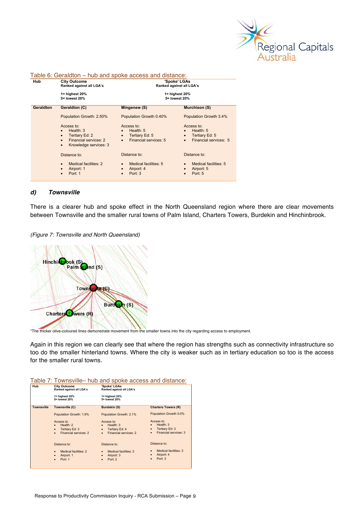

| Hub              | <b>City Outcome</b><br>Ranked against all LGA's                                                                                    | 'Spoke' LGAs<br>Ranked against all LGA's                                                     |                                                                                              |  |
|------------------|------------------------------------------------------------------------------------------------------------------------------------|----------------------------------------------------------------------------------------------|----------------------------------------------------------------------------------------------|--|
|                  | 1= highest 20%<br>5= lowest 20%                                                                                                    | 5= lowest 20%                                                                                | 1= highest 20%                                                                               |  |
| <b>Geraldton</b> | Geraldton (C)                                                                                                                      | Mingenew (S)                                                                                 | <b>Murchison (S)</b>                                                                         |  |
|                  | Population Growth: 2.50%                                                                                                           | Population Growth 0.40%                                                                      | Population Growth 3.4%                                                                       |  |
|                  | Access to:<br>Health: 3<br>Tertiary Ed: 2<br>$\bullet$<br>Financial services: 2<br>$\bullet$<br>Knowledge services: 3<br>$\bullet$ | Access to:<br>Health: 5<br>Tertiary Ed: 5<br>$\bullet$<br>Financial services: 5<br>$\bullet$ | Access to:<br>Health: 5<br>Tertiary Ed: 5<br>$\bullet$<br>Financial services: 5<br>$\bullet$ |  |
|                  | Distance to:                                                                                                                       | Distance to:                                                                                 | Distance to:                                                                                 |  |
|                  | Medical facilities: 2<br>$\bullet$<br>Airport: 1<br>$\bullet$<br>Port: 1                                                           | Medical facilities: 5<br>$\bullet$<br>Airport: 4<br>$\bullet$<br>Port: 3<br>$\bullet$        | Medical facilities: 5<br>Airport: 5<br>$\bullet$<br>Port: 5                                  |  |

#### Table 6: Geraldton – hub and spoke access and distance:

### *d) Townsville*

There is a clearer hub and spoke effect in the North Queensland region where there are clear movements between Townsville and the smaller rural towns of Palm Island, Charters Towers, Burdekin and Hinchinbrook.

*(Figure 7: Townsville and North Queensland)*



\*The thicker olive-coloured lines demonstrate movement from the smaller towns into the city regarding access to employment.

Again in this region we can clearly see that where the region has strengths such as connectivity infrastructure so too do the smaller hinterland towns. Where the city is weaker such as in tertiary education so too is the access for the smaller rural towns.

|--|

| Hub               | <b>City Outcome</b><br>Ranked against all LGA's                                              | 'Spoke' LGAs<br>Ranked against all LGA's                                                     |                                                                                      |
|-------------------|----------------------------------------------------------------------------------------------|----------------------------------------------------------------------------------------------|--------------------------------------------------------------------------------------|
|                   | $1 =$ highest 20%<br>5= lowest 20%                                                           | $1 =$ highest 20%<br>5= lowest 20%                                                           |                                                                                      |
| <b>Townsville</b> | Townsville (C)                                                                               | <b>Burdekin (S)</b>                                                                          | <b>Charters Towers (R)</b>                                                           |
|                   | Population Growth: 1.9%                                                                      | Population Growth: 2.1%                                                                      | Population Growth 0.0%                                                               |
|                   | Access to:<br>Health: 2<br>Tertiary Ed: 3<br>$\bullet$<br>Financial services: 2<br>$\bullet$ | Access to:<br>Health: 3<br>Tertiary Ed: 4<br>$\bullet$<br>Financial services: 2<br>$\bullet$ | Access to:<br>Health: 3<br>Tertiary Ed: 3<br>۰<br>Financial services: 3<br>$\bullet$ |
|                   | Distance to:                                                                                 | Distance to:                                                                                 | Distance to:                                                                         |
|                   | <b>Medical facilities: 2</b><br>$\bullet$<br>Airport: 1<br>۰<br>Port: 1<br>$\bullet$         | Medical facilities: 3<br>$\bullet$<br>Airport: 3<br>۰<br>Port: 2<br>$\bullet$                | Medical facilities: 3<br>Airport: 4<br>۰<br>Port: 3<br>$\bullet$                     |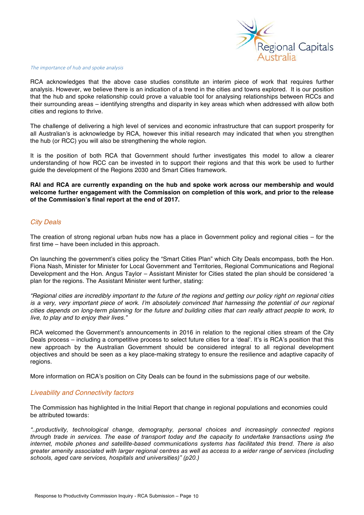

#### The importance of hub and spoke analysis

RCA acknowledges that the above case studies constitute an interim piece of work that requires further analysis. However, we believe there is an indication of a trend in the cities and towns explored. It is our position that the hub and spoke relationship could prove a valuable tool for analysing relationships between RCCs and their surrounding areas – identifying strengths and disparity in key areas which when addressed with allow both cities and regions to thrive.

The challenge of delivering a high level of services and economic infrastructure that can support prosperity for all Australian's is acknowledge by RCA, however this initial research may indicated that when you strengthen the hub (or RCC) you will also be strengthening the whole region.

It is the position of both RCA that Government should further investigates this model to allow a clearer understanding of how RCC can be invested in to support their regions and that this work be used to further guide the development of the Regions 2030 and Smart Cities framework.

**RAI and RCA are currently expanding on the hub and spoke work across our membership and would welcome further engagement with the Commission on completion of this work, and prior to the release of the Commission's final report at the end of 2017.** 

## *City Deals*

The creation of strong regional urban hubs now has a place in Government policy and regional cities – for the first time – have been included in this approach.

On launching the government's cities policy the "Smart Cities Plan" which City Deals encompass, both the Hon. Fiona Nash, Minister for Minister for Local Government and Territories, Regional Communications and Regional Development and the Hon. Angus Taylor – Assistant Minister for Cities stated the plan should be considered 'a plan for the regions. The Assistant Minister went further, stating:

*"Regional cities are incredibly important to the future of the regions and getting our policy right on regional cities is a very, very important piece of work. I'm absolutely convinced that harnessing the potential of our regional cities depends on long-term planning for the future and building cities that can really attract people to work, to live, to play and to enjoy their lives."* 

RCA welcomed the Government's announcements in 2016 in relation to the regional cities stream of the City Deals process – including a competitive process to select future cities for a 'deal'. It's is RCA's position that this new approach by the Australian Government should be considered integral to all regional development objectives and should be seen as a key place-making strategy to ensure the resilience and adaptive capacity of regions.

More information on RCA's position on City Deals can be found in the submissions page of our website.

### *Liveability and Connectivity factors*

The Commission has highlighted in the Initial Report that change in regional populations and economies could be attributed towards:

*"..productivity, technological change, demography, personal choices and increasingly connected regions through trade in services. The ease of transport today and the capacity to undertake transactions using the internet, mobile phones and satellite-based communications systems has facilitated this trend. There is also greater amenity associated with larger regional centres as well as access to a wider range of services (including schools, aged care services, hospitals and universities)" (p20.)*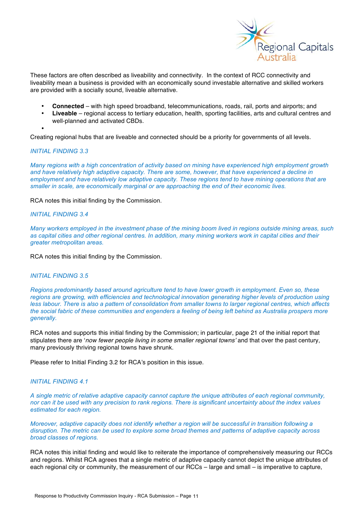

These factors are often described as liveability and connectivity. In the context of RCC connectivity and liveability mean a business is provided with an economically sound investable alternative and skilled workers are provided with a socially sound, liveable alternative.

- **Connected** with high speed broadband, telecommunications, roads, rail, ports and airports; and
- **Liveable** regional access to tertiary education, health, sporting facilities, arts and cultural centres and well-planned and activated CBDs.

Creating regional hubs that are liveable and connected should be a priority for governments of all levels.

#### *INITIAL FINDING 3.3*

•

*Many regions with a high concentration of activity based on mining have experienced high employment growth and have relatively high adaptive capacity. There are some, however, that have experienced a decline in employment and have relatively low adaptive capacity. These regions tend to have mining operations that are smaller in scale, are economically marginal or are approaching the end of their economic lives.*

RCA notes this initial finding by the Commission.

### *INITIAL FINDING 3.4*

*Many workers employed in the investment phase of the mining boom lived in regions outside mining areas, such as capital cities and other regional centres. In addition, many mining workers work in capital cities and their greater metropolitan areas.*

RCA notes this initial finding by the Commission.

### *INITIAL FINDING 3.5*

*Regions predominantly based around agriculture tend to have lower growth in employment. Even so, these regions are growing, with efficiencies and technological innovation generating higher levels of production using less labour. There is also a pattern of consolidation from smaller towns to larger regional centres, which affects the social fabric of these communities and engenders a feeling of being left behind as Australia prospers more generally.*

RCA notes and supports this initial finding by the Commission; in particular, page 21 of the initial report that stipulates there are '*now fewer people living in some smaller regional towns'* and that over the past century, many previously thriving regional towns have shrunk.

Please refer to Initial Finding 3.2 for RCA's position in this issue.

### *INITIAL FINDING 4.1*

*A single metric of relative adaptive capacity cannot capture the unique attributes of each regional community, nor can it be used with any precision to rank regions. There is significant uncertainty about the index values estimated for each region.*

*Moreover, adaptive capacity does not identify whether a region will be successful in transition following a disruption. The metric can be used to explore some broad themes and patterns of adaptive capacity across broad classes of regions.*

RCA notes this initial finding and would like to reiterate the importance of comprehensively measuring our RCCs and regions. Whilst RCA agrees that a single metric of adaptive capacity cannot depict the unique attributes of each regional city or community, the measurement of our RCCs – large and small – is imperative to capture,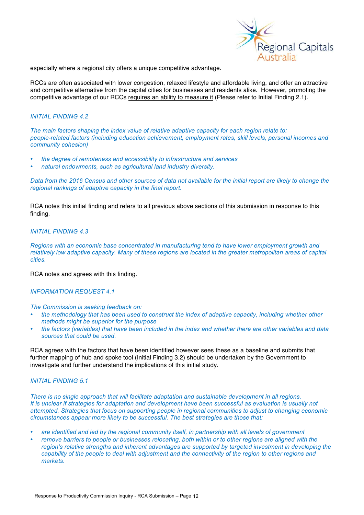

especially where a regional city offers a unique competitive advantage.

RCCs are often associated with lower congestion, relaxed lifestyle and affordable living, and offer an attractive and competitive alternative from the capital cities for businesses and residents alike. However, promoting the competitive advantage of our RCCs requires an ability to measure it (Please refer to Initial Finding 2.1).

#### *INITIAL FINDING 4.2*

*The main factors shaping the index value of relative adaptive capacity for each region relate to: people-related factors (including education achievement, employment rates, skill levels, personal incomes and community cohesion)*

- *the degree of remoteness and accessibility to infrastructure and services*
- *natural endowments, such as agricultural land industry diversity.*

*Data from the 2016 Census and other sources of data not available for the initial report are likely to change the regional rankings of adaptive capacity in the final report.*

RCA notes this initial finding and refers to all previous above sections of this submission in response to this finding.

## *INITIAL FINDING 4.3*

*Regions with an economic base concentrated in manufacturing tend to have lower employment growth and relatively low adaptive capacity. Many of these regions are located in the greater metropolitan areas of capital cities.*

RCA notes and agrees with this finding.

## *INFORMATION REQUEST 4.1*

*The Commission is seeking feedback on:*

- *the methodology that has been used to construct the index of adaptive capacity, including whether other methods might be superior for the purpose*
- *the factors (variables) that have been included in the index and whether there are other variables and data sources that could be used.*

RCA agrees with the factors that have been identified however sees these as a baseline and submits that further mapping of hub and spoke tool (Initial Finding 3.2) should be undertaken by the Government to investigate and further understand the implications of this initial study.

#### *INITIAL FINDING 5.1*

*There is no single approach that will facilitate adaptation and sustainable development in all regions. It is unclear if strategies for adaptation and development have been successful as evaluation is usually not attempted. Strategies that focus on supporting people in regional communities to adjust to changing economic circumstances appear more likely to be successful. The best strategies are those that:*

- *are identified and led by the regional community itself, in partnership with all levels of government*
- *remove barriers to people or businesses relocating, both within or to other regions are aligned with the region's relative strengths and inherent advantages are supported by targeted investment in developing the capability of the people to deal with adjustment and the connectivity of the region to other regions and markets.*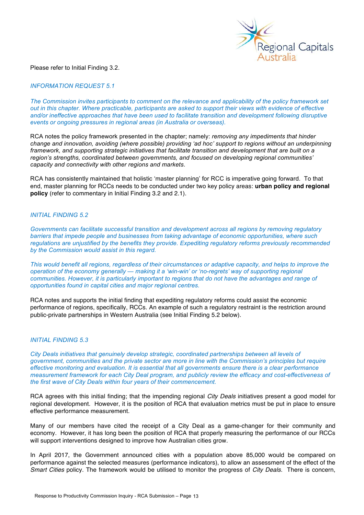

#### Please refer to Initial Finding 3.2.

#### *INFORMATION REQUEST 5.1*

*The Commission invites participants to comment on the relevance and applicability of the policy framework set out in this chapter. Where practicable, participants are asked to support their views with evidence of effective and/or ineffective approaches that have been used to facilitate transition and development following disruptive events or ongoing pressures in regional areas (in Australia or overseas).*

RCA notes the policy framework presented in the chapter; namely: *removing any impediments that hinder change and innovation, avoiding (where possible) providing 'ad hoc' support to regions without an underpinning framework, and supporting strategic initiatives that facilitate transition and development that are built on a region's strengths, coordinated between governments, and focused on developing regional communities' capacity and connectivity with other regions and markets*.

RCA has consistently maintained that holistic 'master planning' for RCC is imperative going forward. To that end, master planning for RCCs needs to be conducted under two key policy areas: **urban policy and regional policy** (refer to commentary in Initial Finding 3.2 and 2.1).

#### *INITIAL FINDING 5.2*

*Governments can facilitate successful transition and development across all regions by removing regulatory barriers that impede people and businesses from taking advantage of economic opportunities, where such regulations are unjustified by the benefits they provide. Expediting regulatory reforms previously recommended by the Commission would assist in this regard.*

*This would benefit all regions, regardless of their circumstances or adaptive capacity, and helps to improve the operation of the economy generally — making it a 'win-win' or 'no-regrets' way of supporting regional communities. However, it is particularly important to regions that do not have the advantages and range of opportunities found in capital cities and major regional centres.*

RCA notes and supports the initial finding that expediting regulatory reforms could assist the economic performance of regions, specifically, RCCs. An example of such a regulatory restraint is the restriction around public-private partnerships in Western Australia (see Initial Finding 5.2 below).

#### *INITIAL FINDING 5.3*

*City Deals initiatives that genuinely develop strategic, coordinated partnerships between all levels of government, communities and the private sector are more in line with the Commission's principles but require effective monitoring and evaluation. It is essential that all governments ensure there is a clear performance measurement framework for each City Deal program, and publicly review the efficacy and cost-effectiveness of the first wave of City Deals within four years of their commencement.*

RCA agrees with this initial finding; that the impending regional *City Deals* initiatives present a good model for regional development. However, it is the position of RCA that evaluation metrics must be put in place to ensure effective performance measurement.

Many of our members have cited the receipt of a City Deal as a game-changer for their community and economy. However, it has long been the position of RCA that properly measuring the performance of our RCCs will support interventions designed to improve how Australian cities grow.

In April 2017, the Government announced cities with a population above 85,000 would be compared on performance against the selected measures (performance indicators), to allow an assessment of the effect of the *Smart Cities* policy. The framework would be utilised to monitor the progress of *City Deals.* There is concern,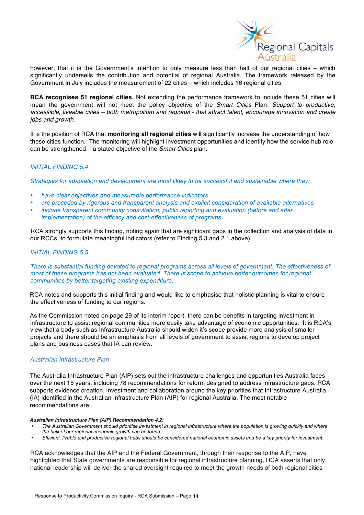

however, that it is the Government's intention to only measure less than half of our regional cities – which significantly undersells the contribution and potential of regional Australia. The framework released by the Government in July includes the measurement of 22 cities – which includes 16 regional cities.

**RCA recognises 51 regional cities.** Not extending the performance framework to include these 51 cities will mean the government will not meet the policy objective of the *Smart Cities* Plan: *Support to productive, accessible, liveable cities – both metropolitan and regional - that attract talent, encourage innovation and create jobs and growth.*

It is the position of RCA that **monitoring all regional cities** will significantly increase the understanding of how these cities function. The monitoring will highlight investment opportunities and identify how the service hub role can be strengthened – a stated objective of the *Smart Cities* plan.

## *INITIAL FINDING 5.4*

*Strategies for adaptation and development are most likely to be successful and sustainable where they:*

- *have clear objectives and measurable performance indicators*
- *are preceded by rigorous and transparent analysis and explicit consideration of available alternatives*
- *include transparent community consultation, public reporting and evaluation (before and after implementation) of the efficacy and cost-effectiveness of programs.*

RCA strongly supports this finding, noting again that are significant gaps in the collection and analysis of data in our RCCs, to formulate meaningful indicators (refer to Finding 5.3 and 2.1 above).

## *INITIAL FINDING 5.5*

*There is substantial funding devoted to regional programs across all levels of government. The effectiveness of most of these programs has not been evaluated. There is scope to achieve better outcomes for regional communities by better targeting existing expenditure.*

RCA notes and supports this initial finding and would like to emphasise that holistic planning is vital to ensure the effectiveness of funding to our regions.

As the Commission noted on page 29 of its interim report, there can be benefits in targeting investment in infrastructure to assist regional communities more easily take advantage of economic opportunities. It is RCA's view that a body such as Infrastructure Australia should widen it's scope provide more analysis of smaller projects and there should be an emphasis from all levels of government to assist regions to develop project plans and business cases that IA can review.

### *Australian Infrastructure Plan*

The Australia Infrastructure Plan (AIP) sets out the infrastructure challenges and opportunities Australia faces over the next 15 years, including 78 recommendations for reform designed to address infrastructure gaps. RCA supports evidence creation, investment and collaboration around the key priorities that Infrastructure Australia (IA) identified in the Australian Infrastructure Plan (AIP) for regional Australia. The most notable recommendations are:

#### *Australian Infrastructure Plan (AIP) Recommendation 4.2:*

- *The Australian Government should prioritise investment in regional infrastructure where the population is growing quickly and where the bulk of our regional economic growth can be found.*
- *Efficient, livable and productive regional hubs should be considered national economic assets and be a key priority for investment.*

RCA acknowledges that the AIP and the Federal Government, through their response to the AIP, have highlighted that State governments are responsible for regional infrastructure planning, RCA asserts that only national leadership will deliver the shared oversight required to meet the growth needs of both regional cities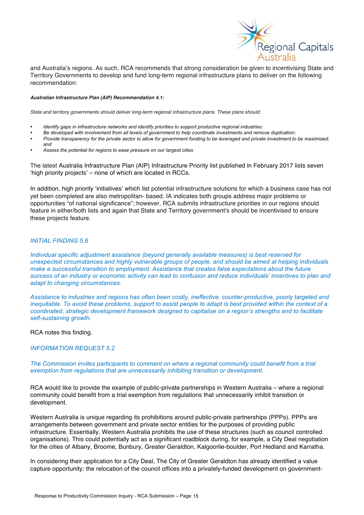

and Australia's regions. As such, RCA recommends that strong consideration be given to incentivising State and Territory Governments to develop and fund long-term regional infrastructure plans to deliver on the following recommendation:

#### *Australian Infrastructure Plan (AIP) Recommendation 4.1:*

*State and territory governments should deliver long-term regional infrastructure plans. These plans should:* 

- *Identify gaps in infrastructure networks and identify priorities to support productive regional industries;*
- *Be developed with involvement from all levels of government to help coordinate investments and remove duplication;*
- *Provide transparency for the private sector to allow for government funding to be leveraged and private investment to be maximised; and*
- *Assess the potential for regions to ease pressure on our largest cities*

The latest Australia Infrastructure Plan (AIP) Infrastructure Priority list published in February 2017 lists seven 'high priority projects' – none of which are located in RCCs.

In addition, high priority 'initiatives' which list potential infrastructure solutions for which a business case has not yet been completed are also metropolitan- based. IA indicates both groups address major problems or opportunities "of national significance"; however, RCA submits infrastructure priorities in our regions should feature in either/both lists and again that State and Territory government's should be incentivised to ensure these projects feature.

### *INITIAL FINDING 5.6*

*Individual specific adjustment assistance (beyond generally available measures) is best reserved for unexpected circumstances and highly vulnerable groups of people, and should be aimed at helping individuals make a successful transition to employment. Assistance that creates false expectations about the future success of an industry or economic activity can lead to confusion and reduce individuals' incentives to plan and adapt to changing circumstances.*

*Assistance to industries and regions has often been costly, ineffective, counter-productive, poorly targeted and inequitable. To avoid these problems, support to assist people to adapt is best provided within the context of a coordinated, strategic development framework designed to capitalise on a region's strengths and to facilitate self-sustaining growth.*

RCA notes this finding.

### *INFORMATION REQUEST 5.2*

*The Commission invites participants to comment on where a regional community could benefit from a trial exemption from regulations that are unnecessarily inhibiting transition or development.*

RCA would like to provide the example of public-private partnerships in Western Australia – where a regional community could benefit from a trial exemption from regulations that unnecessarily inhibit transition or development.

Western Australia is unique regarding its prohibitions around public-private partnerships (PPPs). PPPs are arrangements between government and private sector entities for the purposes of providing public infrastructure. Essentially, Western Australia prohibits the use of these structures (such as council controlled organisations). This could potentially act as a significant roadblock during, for example, a City Deal negotiation for the cities of Albany, Broome, Bunbury, Greater Geraldton, Kalgoorlie-boulder, Port Hedland and Karratha.

In considering their application for a City Deal, The City of Greater Geraldton has already identified a value capture opportunity: the relocation of the council offices into a privately-funded development on government-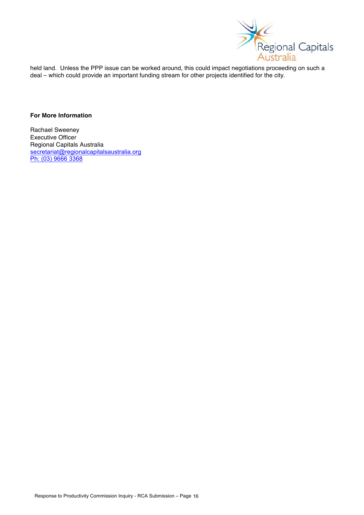

held land. Unless the PPP issue can be worked around, this could impact negotiations proceeding on such a deal – which could provide an important funding stream for other projects identified for the city.

## **For More Information**

Rachael Sweeney Executive Officer Regional Capitals Australia secretariat@regionalcapitalsaustralia.org Ph: (03) 9666 3368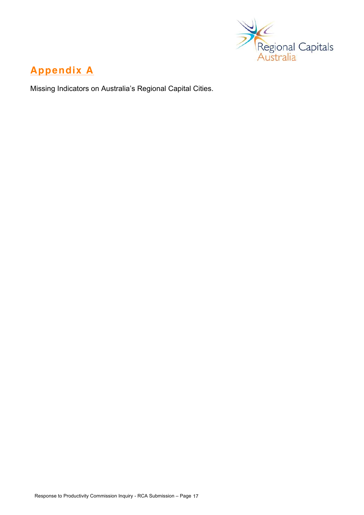

# **Appendix A**

Missing Indicators on Australia's Regional Capital Cities.